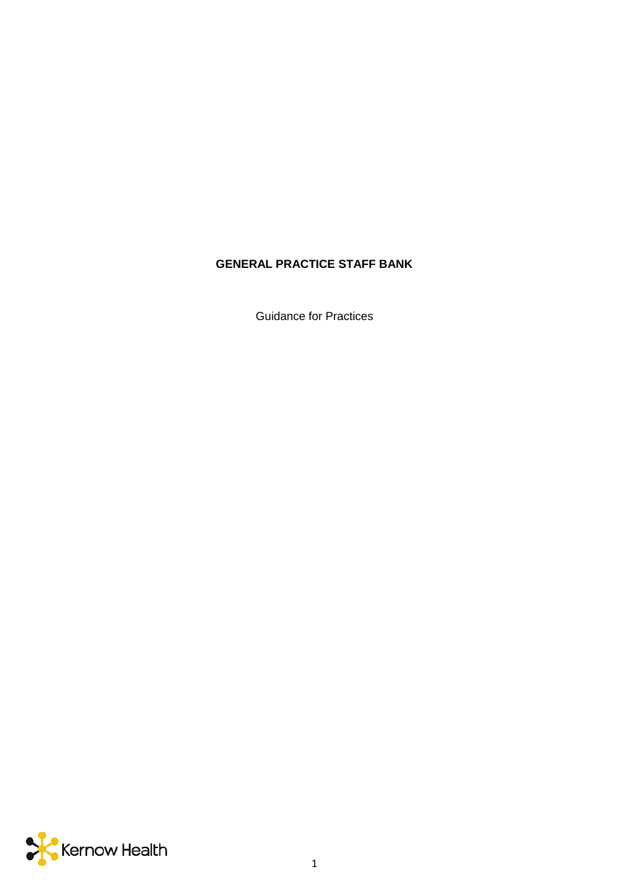# **GENERAL PRACTICE STAFF BANK**

Guidance for Practices

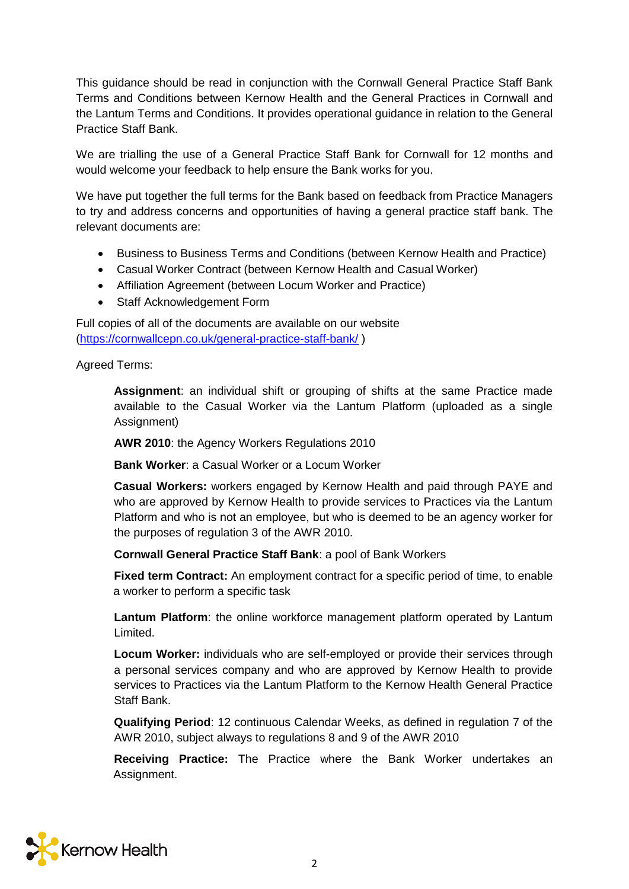This guidance should be read in conjunction with the Cornwall General Practice Staff Bank Terms and Conditions between Kernow Health and the General Practices in Cornwall and the Lantum Terms and Conditions. It provides operational guidance in relation to the General Practice Staff Bank.

We are trialling the use of a General Practice Staff Bank for Cornwall for 12 months and would welcome your feedback to help ensure the Bank works for you.

We have put together the full terms for the Bank based on feedback from Practice Managers to try and address concerns and opportunities of having a general practice staff bank. The relevant documents are:

- Business to Business Terms and Conditions (between Kernow Health and Practice)
- Casual Worker Contract (between Kernow Health and Casual Worker)
- Affiliation Agreement (between Locum Worker and Practice)
- Staff Acknowledgement Form

Full copies of all of the documents are available on our website [\(https://cornwallcepn.co.uk/general-practice-staff-bank/](https://cornwallcepn.co.uk/general-practice-staff-bank/) )

Agreed Terms:

**Assignment**: an individual shift or grouping of shifts at the same Practice made available to the Casual Worker via the Lantum Platform (uploaded as a single Assignment)

**AWR 2010**: the Agency Workers Regulations 2010

**Bank Worker**: a Casual Worker or a Locum Worker

**Casual Workers:** workers engaged by Kernow Health and paid through PAYE and who are approved by Kernow Health to provide services to Practices via the Lantum Platform and who is not an employee, but who is deemed to be an agency worker for the purposes of regulation 3 of the AWR 2010.

**Cornwall General Practice Staff Bank**: a pool of Bank Workers

**Fixed term Contract:** An employment contract for a specific period of time, to enable a worker to perform a specific task

**Lantum Platform**: the online workforce management platform operated by Lantum Limited.

**Locum Worker:** individuals who are self-employed or provide their services through a personal services company and who are approved by Kernow Health to provide services to Practices via the Lantum Platform to the Kernow Health General Practice Staff Bank.

**Qualifying Period**: 12 continuous Calendar Weeks, as defined in regulation 7 of the AWR 2010, subject always to regulations 8 and 9 of the AWR 2010

**Receiving Practice:** The Practice where the Bank Worker undertakes an Assignment.

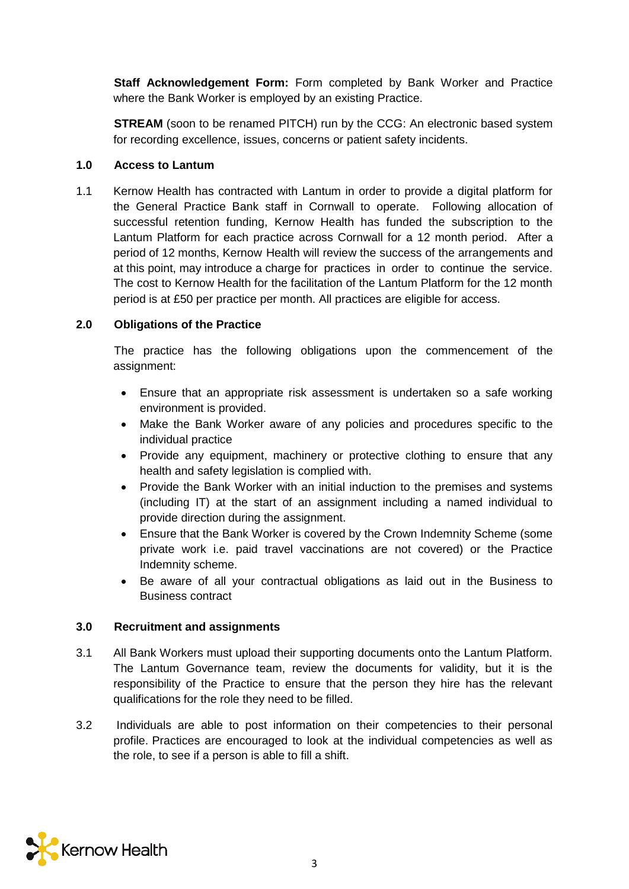**Staff Acknowledgement Form:** Form completed by Bank Worker and Practice where the Bank Worker is employed by an existing Practice.

**STREAM** (soon to be renamed PITCH) run by the CCG: An electronic based system for recording excellence, issues, concerns or patient safety incidents.

#### **1.0 Access to Lantum**

1.1 Kernow Health has contracted with Lantum in order to provide a digital platform for the General Practice Bank staff in Cornwall to operate. Following allocation of successful retention funding, Kernow Health has funded the subscription to the Lantum Platform for each practice across Cornwall for a 12 month period. After a period of 12 months, Kernow Health will review the success of the arrangements and at this point, may introduce a charge for practices in order to continue the service. The cost to Kernow Health for the facilitation of the Lantum Platform for the 12 month period is at £50 per practice per month. All practices are eligible for access.

# **2.0 Obligations of the Practice**

The practice has the following obligations upon the commencement of the assignment:

- Ensure that an appropriate risk assessment is undertaken so a safe working environment is provided.
- Make the Bank Worker aware of any policies and procedures specific to the individual practice
- Provide any equipment, machinery or protective clothing to ensure that any health and safety legislation is complied with.
- Provide the Bank Worker with an initial induction to the premises and systems (including IT) at the start of an assignment including a named individual to provide direction during the assignment.
- Ensure that the Bank Worker is covered by the Crown Indemnity Scheme (some private work i.e. paid travel vaccinations are not covered) or the Practice Indemnity scheme.
- Be aware of all your contractual obligations as laid out in the Business to Business contract

#### **3.0 Recruitment and assignments**

- 3.1 All Bank Workers must upload their supporting documents onto the Lantum Platform. The Lantum Governance team, review the documents for validity, but it is the responsibility of the Practice to ensure that the person they hire has the relevant qualifications for the role they need to be filled.
- 3.2 Individuals are able to post information on their competencies to their personal profile. Practices are encouraged to look at the individual competencies as well as the role, to see if a person is able to fill a shift.

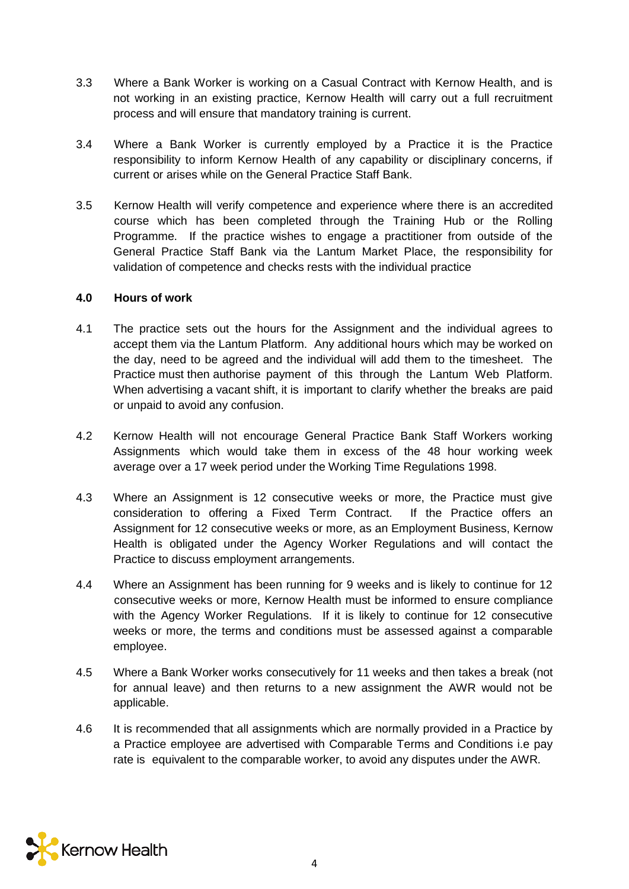- 3.3 Where a Bank Worker is working on a Casual Contract with Kernow Health, and is not working in an existing practice, Kernow Health will carry out a full recruitment process and will ensure that mandatory training is current.
- 3.4 Where a Bank Worker is currently employed by a Practice it is the Practice responsibility to inform Kernow Health of any capability or disciplinary concerns, if current or arises while on the General Practice Staff Bank.
- 3.5 Kernow Health will verify competence and experience where there is an accredited course which has been completed through the Training Hub or the Rolling Programme. If the practice wishes to engage a practitioner from outside of the General Practice Staff Bank via the Lantum Market Place, the responsibility for validation of competence and checks rests with the individual practice

#### **4.0 Hours of work**

- 4.1 The practice sets out the hours for the Assignment and the individual agrees to accept them via the Lantum Platform. Any additional hours which may be worked on the day, need to be agreed and the individual will add them to the timesheet. The Practice must then authorise payment of this through the Lantum Web Platform. When advertising a vacant shift, it is important to clarify whether the breaks are paid or unpaid to avoid any confusion.
- 4.2 Kernow Health will not encourage General Practice Bank Staff Workers working Assignments which would take them in excess of the 48 hour working week average over a 17 week period under the Working Time Regulations 1998.
- 4.3 Where an Assignment is 12 consecutive weeks or more, the Practice must give consideration to offering a Fixed Term Contract. If the Practice offers an Assignment for 12 consecutive weeks or more, as an Employment Business, Kernow Health is obligated under the Agency Worker Regulations and will contact the Practice to discuss employment arrangements.
- 4.4 Where an Assignment has been running for 9 weeks and is likely to continue for 12 consecutive weeks or more, Kernow Health must be informed to ensure compliance with the Agency Worker Regulations. If it is likely to continue for 12 consecutive weeks or more, the terms and conditions must be assessed against a comparable employee.
- 4.5 Where a Bank Worker works consecutively for 11 weeks and then takes a break (not for annual leave) and then returns to a new assignment the AWR would not be applicable.
- 4.6 It is recommended that all assignments which are normally provided in a Practice by a Practice employee are advertised with Comparable Terms and Conditions i.e pay rate is equivalent to the comparable worker, to avoid any disputes under the AWR.

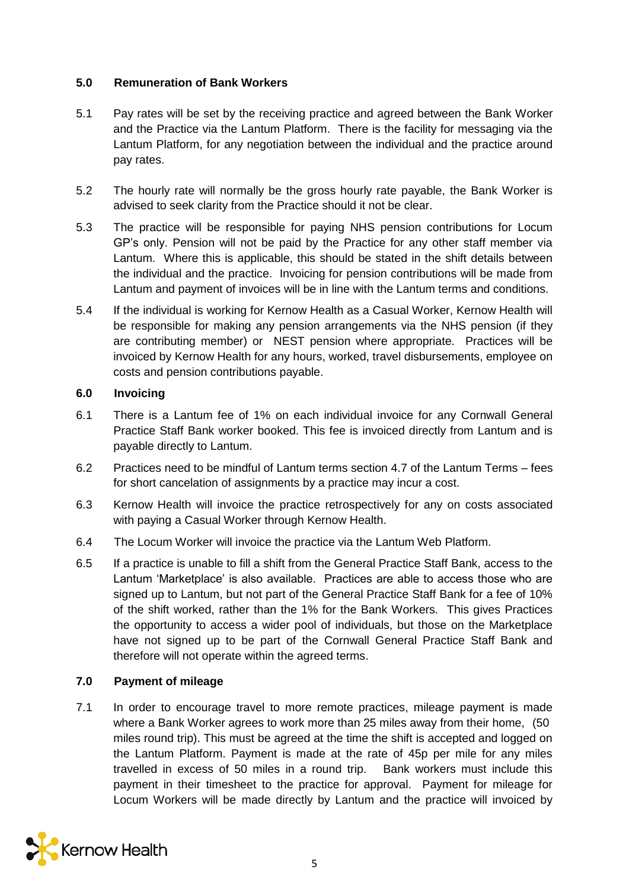# **5.0 Remuneration of Bank Workers**

- 5.1 Pay rates will be set by the receiving practice and agreed between the Bank Worker and the Practice via the Lantum Platform. There is the facility for messaging via the Lantum Platform, for any negotiation between the individual and the practice around pay rates.
- 5.2 The hourly rate will normally be the gross hourly rate payable, the Bank Worker is advised to seek clarity from the Practice should it not be clear.
- 5.3 The practice will be responsible for paying NHS pension contributions for Locum GP's only. Pension will not be paid by the Practice for any other staff member via Lantum. Where this is applicable, this should be stated in the shift details between the individual and the practice. Invoicing for pension contributions will be made from Lantum and payment of invoices will be in line with the Lantum terms and conditions.
- 5.4 If the individual is working for Kernow Health as a Casual Worker, Kernow Health will be responsible for making any pension arrangements via the NHS pension (if they are contributing member) or NEST pension where appropriate. Practices will be invoiced by Kernow Health for any hours, worked, travel disbursements, employee on costs and pension contributions payable.

# **6.0 Invoicing**

- 6.1 There is a Lantum fee of 1% on each individual invoice for any Cornwall General Practice Staff Bank worker booked. This fee is invoiced directly from Lantum and is payable directly to Lantum.
- 6.2 Practices need to be mindful of Lantum terms section 4.7 of the Lantum Terms fees for short cancelation of assignments by a practice may incur a cost.
- 6.3 Kernow Health will invoice the practice retrospectively for any on costs associated with paying a Casual Worker through Kernow Health.
- 6.4 The Locum Worker will invoice the practice via the Lantum Web Platform.
- 6.5 If a practice is unable to fill a shift from the General Practice Staff Bank, access to the Lantum 'Marketplace' is also available. Practices are able to access those who are signed up to Lantum, but not part of the General Practice Staff Bank for a fee of 10% of the shift worked, rather than the 1% for the Bank Workers. This gives Practices the opportunity to access a wider pool of individuals, but those on the Marketplace have not signed up to be part of the Cornwall General Practice Staff Bank and therefore will not operate within the agreed terms.

# **7.0 Payment of mileage**

7.1 In order to encourage travel to more remote practices, mileage payment is made where a Bank Worker agrees to work more than 25 miles away from their home, (50 miles round trip). This must be agreed at the time the shift is accepted and logged on the Lantum Platform. Payment is made at the rate of 45p per mile for any miles travelled in excess of 50 miles in a round trip. Bank workers must include this payment in their timesheet to the practice for approval. Payment for mileage for Locum Workers will be made directly by Lantum and the practice will invoiced by